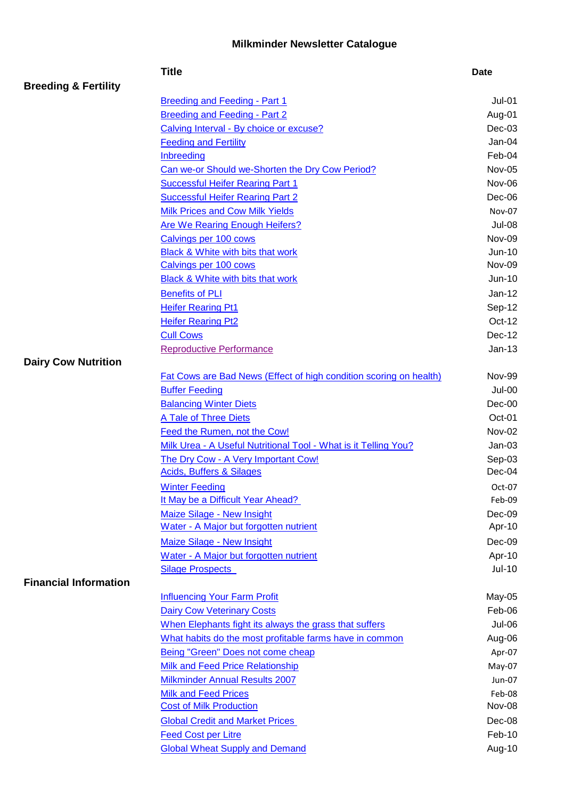## **Milkminder Newsletter Catalogue**

|                                 | <b>Title</b>                                                             | <b>Date</b>      |
|---------------------------------|--------------------------------------------------------------------------|------------------|
| <b>Breeding &amp; Fertility</b> |                                                                          |                  |
|                                 | Breeding and Feeding - Part 1                                            | $Jul-01$         |
|                                 | <b>Breeding and Feeding - Part 2</b>                                     | Aug-01           |
|                                 | Calving Interval - By choice or excuse?                                  | $Dec-03$         |
|                                 | <b>Feeding and Fertility</b>                                             | Jan-04           |
|                                 | <b>Inbreeding</b>                                                        | Feb-04           |
|                                 | Can we-or Should we-Shorten the Dry Cow Period?                          | <b>Nov-05</b>    |
|                                 | <b>Successful Heifer Rearing Part 1</b>                                  | Nov-06           |
|                                 | <b>Successful Heifer Rearing Part 2</b>                                  | Dec-06           |
|                                 | <b>Milk Prices and Cow Milk Yields</b>                                   | Nov-07           |
|                                 | <b>Are We Rearing Enough Heifers?</b>                                    | <b>Jul-08</b>    |
|                                 | Calvings per 100 cows                                                    | Nov-09           |
|                                 | Black & White with bits that work                                        | $Jun-10$         |
|                                 | Calvings per 100 cows                                                    | Nov-09           |
|                                 | Black & White with bits that work                                        | <b>Jun-10</b>    |
|                                 | <b>Benefits of PLI</b>                                                   | $Jan-12$         |
|                                 | <b>Heifer Rearing Pt1</b>                                                | Sep-12           |
|                                 | <b>Heifer Rearing Pt2</b>                                                | Oct-12           |
|                                 | <b>Cull Cows</b>                                                         | Dec-12           |
|                                 | <b>Reproductive Performance</b>                                          | $Jan-13$         |
| <b>Dairy Cow Nutrition</b>      |                                                                          |                  |
|                                 | Fat Cows are Bad News (Effect of high condition scoring on health)       | <b>Nov-99</b>    |
|                                 | <b>Buffer Feeding</b>                                                    | <b>Jul-00</b>    |
|                                 | <b>Balancing Winter Diets</b>                                            | Dec-00           |
|                                 | A Tale of Three Diets                                                    | Oct-01           |
|                                 | Feed the Rumen, not the Cow!                                             | Nov-02           |
|                                 | Milk Urea - A Useful Nutritional Tool - What is it Telling You?          | $Jan-03$         |
|                                 | The Dry Cow - A Very Important Cow!                                      | Sep-03           |
|                                 | <b>Acids, Buffers &amp; Silages</b>                                      | Dec-04           |
|                                 | <b>Winter Feeding</b>                                                    | $Oct-07$         |
|                                 | It May be a Difficult Year Ahead?                                        | Feb-09           |
|                                 | <b>Maize Silage - New Insight</b>                                        | Dec-09           |
|                                 | Water - A Major but forgotten nutrient                                   | Apr-10           |
|                                 | <b>Maize Silage - New Insight</b>                                        | Dec-09           |
|                                 | Water - A Major but forgotten nutrient                                   | Apr-10           |
| <b>Financial Information</b>    | <b>Silage Prospects</b>                                                  | Jul-10           |
|                                 |                                                                          |                  |
|                                 | <b>Influencing Your Farm Profit</b><br><b>Dairy Cow Veterinary Costs</b> | May-05<br>Feb-06 |
|                                 | When Elephants fight its always the grass that suffers                   | <b>Jul-06</b>    |
|                                 | What habits do the most profitable farms have in common                  | Aug-06           |
|                                 | Being "Green" Does not come cheap                                        | Apr-07           |
|                                 | <b>Milk and Feed Price Relationship</b>                                  | May-07           |
|                                 | Milkminder Annual Results 2007                                           | Jun-07           |
|                                 | <b>Milk and Feed Prices</b>                                              | Feb-08           |
|                                 | <b>Cost of Milk Production</b>                                           | Nov-08           |
|                                 | <b>Global Credit and Market Prices</b>                                   | Dec-08           |
|                                 | <b>Feed Cost per Litre</b>                                               | Feb-10           |
|                                 | <b>Global Wheat Supply and Demand</b>                                    | Aug-10           |
|                                 |                                                                          |                  |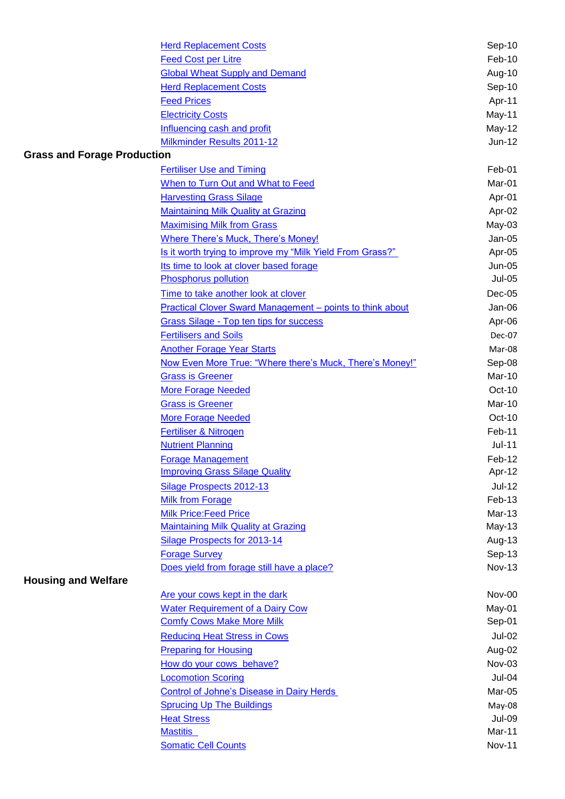|                                    | <b>Herd Replacement Costs</b>                                    | Sep-10        |
|------------------------------------|------------------------------------------------------------------|---------------|
|                                    | <b>Feed Cost per Litre</b>                                       | Feb-10        |
|                                    | <b>Global Wheat Supply and Demand</b>                            | Aug-10        |
|                                    | <b>Herd Replacement Costs</b>                                    | Sep-10        |
|                                    | <b>Feed Prices</b>                                               | Apr-11        |
|                                    | <b>Electricity Costs</b>                                         | May-11        |
|                                    | Influencing cash and profit                                      | May-12        |
|                                    | Milkminder Results 2011-12                                       | Jun-12        |
| <b>Grass and Forage Production</b> |                                                                  |               |
|                                    | <b>Fertiliser Use and Timing</b>                                 | Feb-01        |
|                                    | When to Turn Out and What to Feed                                | Mar-01        |
|                                    | <b>Harvesting Grass Silage</b>                                   | Apr-01        |
|                                    | <b>Maintaining Milk Quality at Grazing</b>                       | Apr-02        |
|                                    | <b>Maximising Milk from Grass</b>                                | May-03        |
|                                    | <b>Where There's Muck, There's Money!</b>                        | Jan-05        |
|                                    | Is it worth trying to improve my "Milk Yield From Grass?"        | Apr-05        |
|                                    | Its time to look at clover based forage                          | Jun-05        |
|                                    | <b>Phosphorus pollution</b>                                      | <b>Jul-05</b> |
|                                    | Time to take another look at clover                              | $Dec-05$      |
|                                    | <b>Practical Clover Sward Management - points to think about</b> | Jan-06        |
|                                    | <b>Grass Silage - Top ten tips for success</b>                   | Apr-06        |
|                                    | <b>Fertilisers and Soils</b>                                     | Dec-07        |
|                                    | <b>Another Forage Year Starts</b>                                | Mar-08        |
|                                    | Now Even More True: "Where there's Muck, There's Money!"         | Sep-08        |
|                                    | <b>Grass is Greener</b>                                          | Mar-10        |
|                                    | <b>More Forage Needed</b>                                        | $Oct-10$      |
|                                    | <b>Grass is Greener</b>                                          | Mar-10        |
|                                    | <b>More Forage Needed</b>                                        | $Oct-10$      |
|                                    | Fertiliser & Nitrogen                                            | Feb-11        |
|                                    | <b>Nutrient Planning</b>                                         | $Jul-11$      |
|                                    | <b>Forage Management</b>                                         | Feb-12        |
|                                    | <b>Improving Grass Silage Quality</b>                            | Apr-12        |
|                                    | Silage Prospects 2012-13                                         | <b>Jul-12</b> |
|                                    | <b>Milk from Forage</b>                                          | Feb-13        |
|                                    | <b>Milk Price:Feed Price</b>                                     | Mar-13        |
|                                    | <b>Maintaining Milk Quality at Grazing</b>                       | $May-13$      |
|                                    | <b>Silage Prospects for 2013-14</b>                              | Aug-13        |
|                                    | <b>Forage Survey</b>                                             | Sep-13        |
|                                    | Does yield from forage still have a place?                       | <b>Nov-13</b> |
| <b>Housing and Welfare</b>         |                                                                  |               |
|                                    | Are your cows kept in the dark                                   | Nov-00        |
|                                    | <b>Water Requirement of a Dairy Cow</b>                          | May-01        |
|                                    | <b>Comfy Cows Make More Milk</b>                                 | Sep-01        |
|                                    | <b>Reducing Heat Stress in Cows</b>                              | <b>Jul-02</b> |
|                                    | <b>Preparing for Housing</b>                                     | Aug-02        |
|                                    | How do your cows behave?                                         | Nov-03        |
|                                    | <b>Locomotion Scoring</b>                                        | Jul-04        |
|                                    | <b>Control of Johne's Disease in Dairy Herds</b>                 | Mar-05        |
|                                    | <b>Sprucing Up The Buildings</b>                                 | May-08        |
|                                    | <b>Heat Stress</b>                                               | <b>Jul-09</b> |
|                                    | <b>Mastitis</b>                                                  | Mar-11        |
|                                    | <b>Somatic Cell Counts</b>                                       | <b>Nov-11</b> |
|                                    |                                                                  |               |